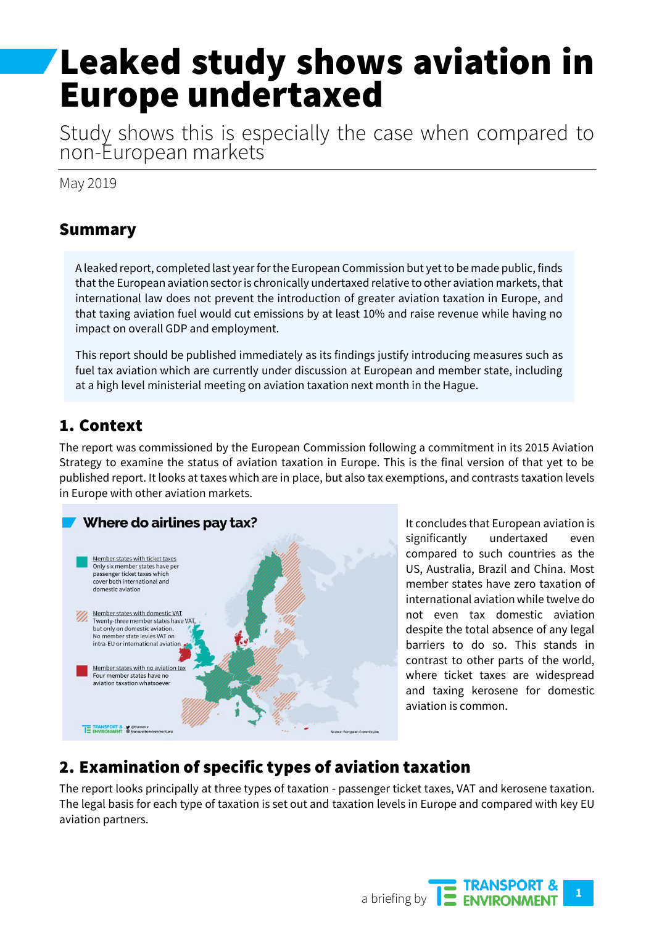# Leaked study shows aviation in Europe undertaxed

Study shows this is especially the case when compared to non-European markets

May 2019

## Summary

A leaked report, completed last year for the European Commission but yet to be made public, finds that the European aviation sector is chronically undertaxed relative to other aviation markets, that international law does not prevent the introduction of greater aviation taxation in Europe, and that taxing aviation fuel would cut emissions by at least 10% and raise revenue while having no impact on overall GDP and employment.

This report should be published immediately as its findings justify introducing measures such as fuel tax aviation which are currently under discussion at European and member state, including at a high level ministerial meeting on aviation taxation next month in the Hague.

## 1. Context

The report was commissioned by the European Commission following a commitment in its 2015 Aviation Strategy to examine the status of aviation taxation in Europe. This is the final version of that yet to be published report. It looks at taxes which are in place, but also tax exemptions, and contrasts taxation levels in Europe with other aviation markets.



It concludes that European aviation is significantly undertaxed even compared to such countries as the US, Australia, Brazil and China. Most member states have zero taxation of international aviation while twelve do not even tax domestic aviation despite the total absence of any legal barriers to do so. This stands in contrast to other parts of the world, where ticket taxes are widespread and taxing kerosene for domestic aviation is common.

### 2. Examination of specific types of aviation taxation

The report looks principally at three types of taxation - passenger ticket taxes, VAT and kerosene taxation. The legal basis for each type of taxation is set out and taxation levels in Europe and compared with key EU aviation partners.

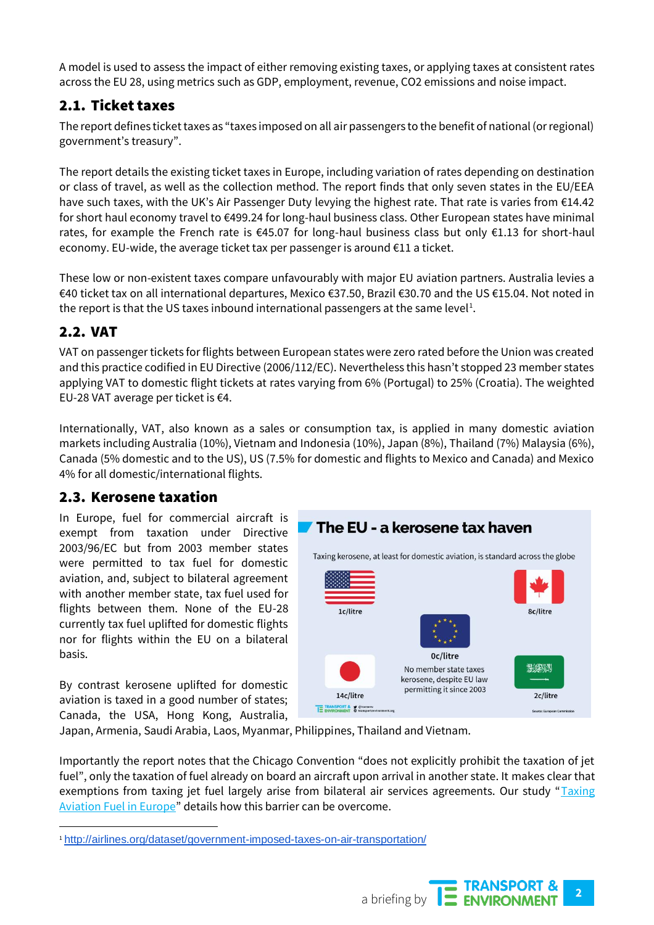A model is used to assess the impact of either removing existing taxes, or applying taxes at consistent rates across the EU 28, using metrics such as GDP, employment, revenue, CO2 emissions and noise impact.

#### 2.1. Ticket taxes

The report defines ticket taxes as "taxes imposed on all air passengers to the benefit of national (or regional) government's treasury".

The report details the existing ticket taxes in Europe, including variation of rates depending on destination or class of travel, as well as the collection method. The report finds that only seven states in the EU/EEA have such taxes, with the UK's Air Passenger Duty levying the highest rate. That rate is varies from €14.42 for short haul economy travel to €499.24 for long-haul business class. Other European states have minimal rates, for example the French rate is €45.07 for long-haul business class but only €1.13 for short-haul economy. EU-wide, the average ticket tax per passenger is around €11 a ticket.

These low or non-existent taxes compare unfavourably with major EU aviation partners. Australia levies a €40 ticket tax on all international departures, Mexico €37.50, Brazil €30.70 and the US €15.04. Not noted in the report is that the US taxes inbound international passengers at the same level<sup>1</sup>.

#### 2.2. VAT

VAT on passenger tickets for flights between European states were zero rated before the Union was created and this practice codified in EU Directive (2006/112/EC). Nevertheless this hasn't stopped 23 member states applying VAT to domestic flight tickets at rates varying from 6% (Portugal) to 25% (Croatia). The weighted EU-28 VAT average per ticket is  $€4$ .

Internationally, VAT, also known as a sales or consumption tax, is applied in many domestic aviation markets including Australia (10%), Vietnam and Indonesia (10%), Japan (8%), Thailand (7%) Malaysia (6%), Canada (5% domestic and to the US), US (7.5% for domestic and flights to Mexico and Canada) and Mexico 4% for all domestic/international flights.

#### 2.3. Kerosene taxation

In Europe, fuel for commercial aircraft is exempt from taxation under Directive 2003/96/EC but from 2003 member states were permitted to tax fuel for domestic aviation, and, subject to bilateral agreement with another member state, tax fuel used for flights between them. None of the EU-28 currently tax fuel uplifted for domestic flights nor for flights within the EU on a bilateral basis.

By contrast kerosene uplifted for domestic aviation is taxed in a good number of states; Canada, the USA, Hong Kong, Australia,



Japan, Armenia, Saudi Arabia, Laos, Myanmar, Philippines, Thailand and Vietnam.

Importantly the report notes that the Chicago Convention "does not explicitly prohibit the taxation of jet fuel", only the taxation of fuel already on board an aircraft upon arrival in another state. It makes clear that exemptions from taxing jet fuel largely arise from bilateral air services agreements. Our study "[Taxing](https://www.transportenvironment.org/publications/taxing-aviation-fuel-europe)  [Aviation Fuel in Europe](https://www.transportenvironment.org/publications/taxing-aviation-fuel-europe)" details how this barrier can be overcome.

<sup>1</sup><http://airlines.org/dataset/government-imposed-taxes-on-air-transportation/>



**2**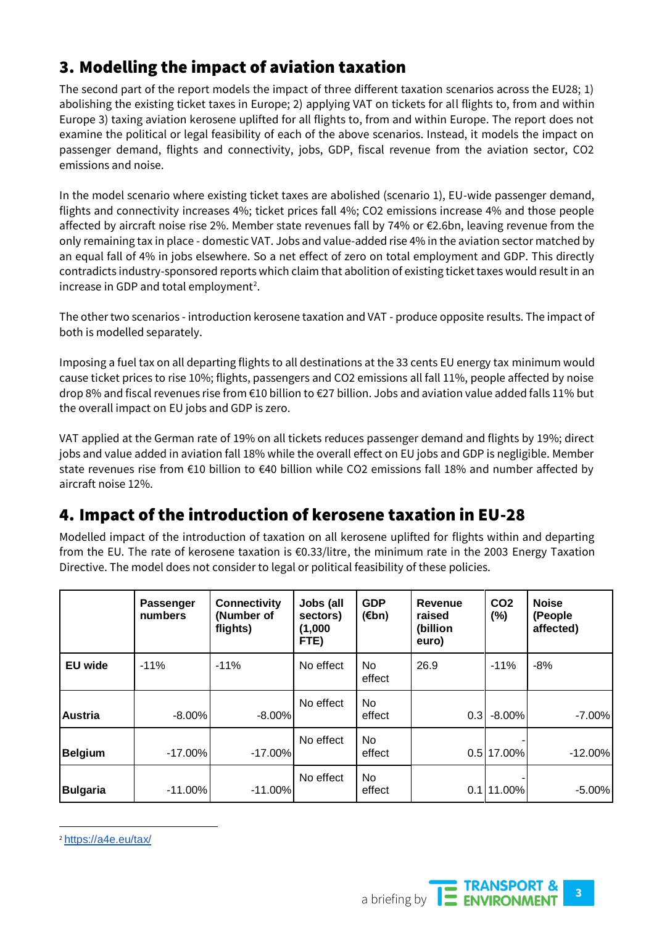## 3. Modelling the impact of aviation taxation

The second part of the report models the impact of three different taxation scenarios across the EU28; 1) abolishing the existing ticket taxes in Europe; 2) applying VAT on tickets for all flights to, from and within Europe 3) taxing aviation kerosene uplifted for all flights to, from and within Europe. The report does not examine the political or legal feasibility of each of the above scenarios. Instead, it models the impact on passenger demand, flights and connectivity, jobs, GDP, fiscal revenue from the aviation sector, CO2 emissions and noise.

In the model scenario where existing ticket taxes are abolished (scenario 1), EU-wide passenger demand, flights and connectivity increases 4%; ticket prices fall 4%; CO2 emissions increase 4% and those people affected by aircraft noise rise 2%. Member state revenues fall by 74% or €2.6bn, leaving revenue from the only remaining tax in place - domestic VAT. Jobs and value-added rise 4% in the aviation sector matched by an equal fall of 4% in jobs elsewhere. So a net effect of zero on total employment and GDP. This directly contradicts industry-sponsored reports which claim that abolition of existing ticket taxes would result in an increase in GDP and total employment<sup>2</sup>.

The other two scenarios - introduction kerosene taxation and VAT - produce opposite results. The impact of both is modelled separately.

Imposing a fuel tax on all departing flights to all destinations at the 33 cents EU energy tax minimum would cause ticket prices to rise 10%; flights, passengers and CO2 emissions all fall 11%, people affected by noise drop 8% and fiscal revenues rise from €10 billion to €27 billion. Jobs and aviation value added falls 11% but the overall impact on EU jobs and GDP is zero.

VAT applied at the German rate of 19% on all tickets reduces passenger demand and flights by 19%; direct jobs and value added in aviation fall 18% while the overall effect on EU jobs and GDP is negligible. Member state revenues rise from €10 billion to €40 billion while CO2 emissions fall 18% and number affected by aircraft noise 12%.

## 4. Impact of the introduction of kerosene taxation in EU-28

Modelled impact of the introduction of taxation on all kerosene uplifted for flights within and departing from the EU. The rate of kerosene taxation is €0.33/litre, the minimum rate in the 2003 Energy Taxation Directive. The model does not consider to legal or political feasibility of these policies.

|                 | Passenger<br>numbers | <b>Connectivity</b><br>(Number of<br>flights) | Jobs (all<br>sectors)<br>(1,000)<br>FTE) | <b>GDP</b><br>$(\epsilon$ bn) | Revenue<br>raised<br>(billion<br>euro) | CO <sub>2</sub><br>$(\% )$ | <b>Noise</b><br>(People<br>affected) |
|-----------------|----------------------|-----------------------------------------------|------------------------------------------|-------------------------------|----------------------------------------|----------------------------|--------------------------------------|
| EU wide         | $-11%$               | $-11%$                                        | No effect                                | <b>No</b><br>effect           | 26.9                                   | $-11%$                     | $-8%$                                |
| <b>Austria</b>  | $-8.00%$             | $-8.00%$                                      | No effect                                | <b>No</b><br>effect           | 0.3                                    | $-8.00%$                   | $-7.00\%$                            |
| <b>Belgium</b>  | $-17.00\%$           | $-17.00\%$                                    | No effect                                | <b>No</b><br>effect           |                                        | 0.5 17.00%                 | $-12.00%$                            |
| <b>Bulgaria</b> | $-11.00\%$           | $-11.00\%$                                    | No effect                                | No.<br>effect                 | 0.1                                    | 11.00%                     | $-5.00%$                             |

<sup>2</sup><https://a4e.eu/tax/>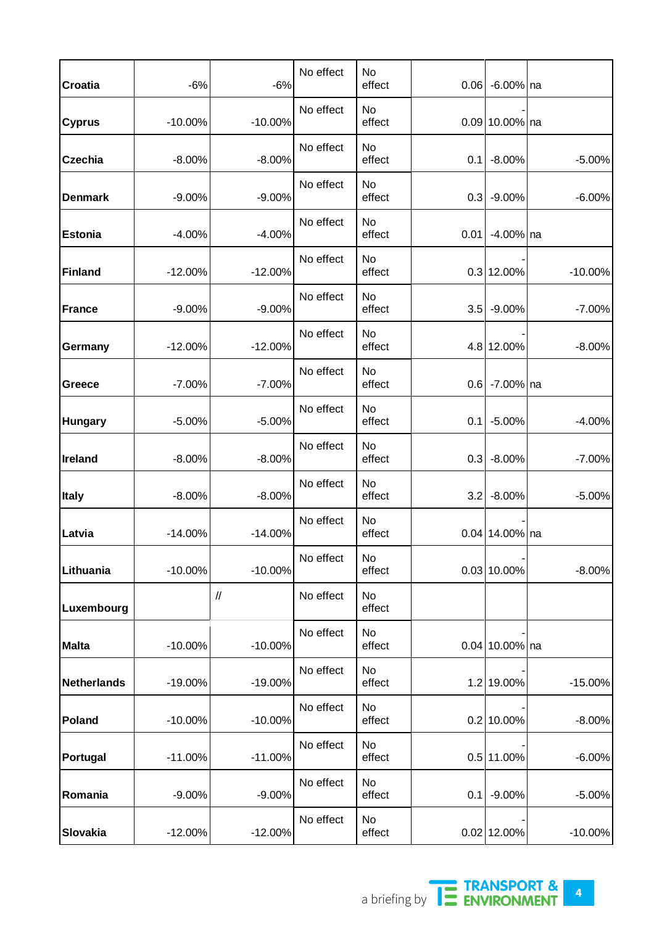| <b>Croatia</b>     | $-6%$      | $-6%$                            | No effect | <b>No</b><br>effect |      | $0.06$ -6.00% na |            |
|--------------------|------------|----------------------------------|-----------|---------------------|------|------------------|------------|
| <b>Cyprus</b>      | $-10.00%$  | $-10.00%$                        | No effect | <b>No</b><br>effect |      | 0.09 10.00% na   |            |
| <b>Czechia</b>     | $-8.00%$   | $-8.00%$                         | No effect | <b>No</b><br>effect | 0.1  | $-8.00%$         | $-5.00%$   |
| <b>Denmark</b>     | $-9.00%$   | $-9.00%$                         | No effect | <b>No</b><br>effect |      | $0.3$ -9.00%     | $-6.00%$   |
| <b>Estonia</b>     | $-4.00%$   | $-4.00%$                         | No effect | <b>No</b><br>effect | 0.01 | $-4.00\%$ na     |            |
| Finland            | $-12.00%$  | $-12.00%$                        | No effect | <b>No</b><br>effect |      | 0.3 12.00%       | $-10.00%$  |
| <b>France</b>      | $-9.00%$   | $-9.00%$                         | No effect | No<br>effect        |      | 3.5 -9.00%       | $-7.00%$   |
| Germany            | $-12.00%$  | $-12.00%$                        | No effect | <b>No</b><br>effect |      | 4.8 12.00%       | $-8.00%$   |
| Greece             | $-7.00%$   | $-7.00%$                         | No effect | <b>No</b><br>effect |      | $0.6$ -7.00% na  |            |
| <b>Hungary</b>     | $-5.00%$   | $-5.00%$                         | No effect | <b>No</b><br>effect | 0.1  | $-5.00%$         | $-4.00%$   |
| <b>Ireland</b>     | $-8.00%$   | $-8.00%$                         | No effect | <b>No</b><br>effect |      | $0.3 - 8.00\%$   | $-7.00%$   |
| <b>Italy</b>       | $-8.00%$   | $-8.00%$                         | No effect | <b>No</b><br>effect | 3.2  | $-8.00%$         | $-5.00%$   |
| Latvia             | $-14.00%$  | $-14.00%$                        | No effect | No<br>effect        |      | 0.04 14.00% na   |            |
| Lithuania          | $-10.00%$  | $-10.00%$                        | No effect | No<br>effect        |      | 0.03 10.00%      | $-8.00%$   |
| Luxembourg         |            | $\ensuremath{\mathnormal{/\!/}}$ | No effect | <b>No</b><br>effect |      |                  |            |
| <b>Malta</b>       | $-10.00%$  | $-10.00%$                        | No effect | No<br>effect        |      | 0.04 10.00% na   |            |
| <b>Netherlands</b> | $-19.00%$  | -19.00%                          | No effect | No<br>effect        |      | 1.2 19.00%       | $-15.00%$  |
| <b>Poland</b>      | $-10.00\%$ | $-10.00%$                        | No effect | <b>No</b><br>effect |      | 0.2 10.00%       | $-8.00%$   |
| Portugal           | $-11.00%$  | $-11.00%$                        | No effect | No<br>effect        |      | 0.5 11.00%       | $-6.00%$   |
| Romania            | $-9.00%$   | $-9.00%$                         | No effect | <b>No</b><br>effect | 0.1  | $-9.00%$         | $-5.00%$   |
| <b>Slovakia</b>    | $-12.00%$  | $-12.00%$                        | No effect | <b>No</b><br>effect |      | 0.02 12.00%      | $-10.00\%$ |